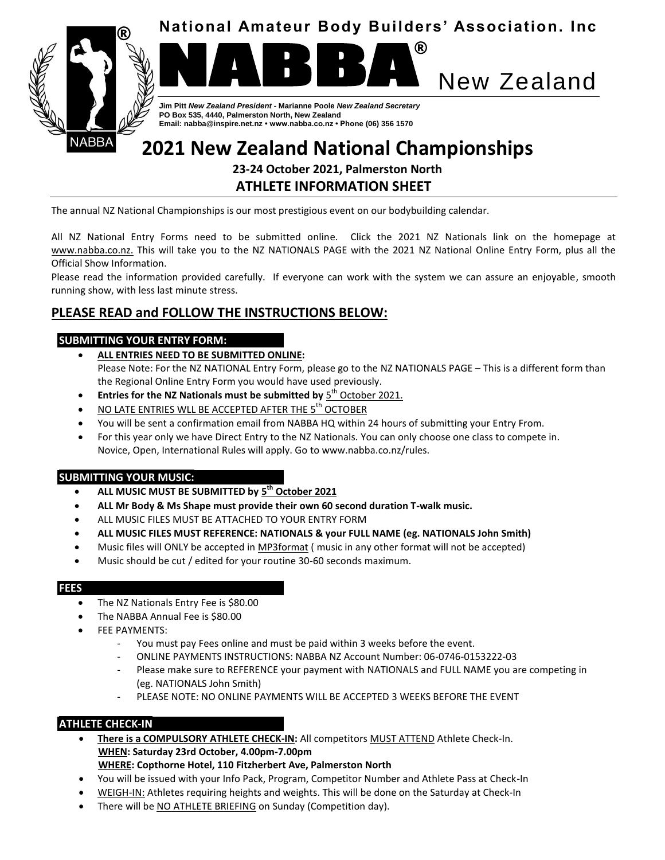





**Jim Pitt** *New Zealand President* **- Marianne Poole** *New Zealand Secretary* **PO Box 535, 4440, Palmerston North, New Zealand Email: nabba@inspire.net.nz • www.nabba.co.nz • Phone (06) 356 1570**

# **2021 New Zealand National Championships**

# **23-24 October 2021, Palmerston North ATHLETE INFORMATION SHEET**

The annual NZ National Championships is our most prestigious event on our bodybuilding calendar.

All NZ National Entry Forms need to be submitted online. Click the 2021 NZ Nationals link on the homepage at [www.nabba.co.nz.](http://www.nabba.co.nz/) This will take you to the NZ NATIONALS PAGE with the 2021 NZ National Online Entry Form, plus all the Official Show Information.

Please read the information provided carefully. If everyone can work with the system we can assure an enjoyable, smooth running show, with less last minute stress.

# **PLEASE READ and FOLLOW THE INSTRUCTIONS BELOW:**

# **SUBMITTING YOUR ENTRY FORM:**

- **ALL ENTRIES NEED TO BE SUBMITTED ONLINE:**  Please Note: For the NZ NATIONAL Entry Form, please go to the NZ NATIONALS PAGE – This is a different form than the Regional Online Entry Form you would have used previously.
- **Entries for the NZ Nationals must be submitted by**  $5^{th}$  **October 2021.**
- $\bullet$  NO LATE ENTRIES WLL BE ACCEPTED AFTER THE 5<sup>th</sup> OCTOBER
- You will be sent a confirmation email from NABBA HQ within 24 hours of submitting your Entry From.
- For this year only we have Direct Entry to the NZ Nationals. You can only choose one class to compete in. Novice, Open, International Rules will apply. Go to www.nabba.co.nz/rules.

# **SUBMITTING YOUR MUSIC:**

- **ALL MUSIC MUST BE SUBMITTED by 5 th October 2021**
- **ALL Mr Body & Ms Shape must provide their own 60 second duration T-walk music.**
- ALL MUSIC FILES MUST BE ATTACHED TO YOUR ENTRY FORM
- **ALL MUSIC FILES MUST REFERENCE: NATIONALS & your FULL NAME (eg. NATIONALS John Smith)**
- Music files will ONLY be accepted in MP3format ( music in any other format will not be accepted)
- Music should be cut / edited for your routine 30-60 seconds maximum.

#### **FEES**

- The NZ Nationals Entry Fee is \$80.00
- The NABBA Annual Fee is \$80.00
- FEE PAYMENTS:
	- You must pay Fees online and must be paid within 3 weeks before the event.
	- ONLINE PAYMENTS INSTRUCTIONS: NABBA NZ Account Number: 06-0746-0153222-03
	- Please make sure to REFERENCE your payment with NATIONALS and FULL NAME you are competing in (eg. NATIONALS John Smith)
	- PLEASE NOTE: NO ONLINE PAYMENTS WILL BE ACCEPTED 3 WEEKS BEFORE THE EVENT

# **ATHLETE CHECK-IN**

- **There is a COMPULSORY ATHLETE CHECK-IN:** All competitors MUST ATTEND Athlete Check-In. **WHEN: Saturday 23rd October, 4.00pm-7.00pm**
- **WHERE: Copthorne Hotel, 110 Fitzherbert Ave, Palmerston North**
- You will be issued with your Info Pack, Program, Competitor Number and Athlete Pass at Check-In
- WEIGH-IN: Athletes requiring heights and weights. This will be done on the Saturday at Check-In
- There will be NO ATHLETE BRIEFING on Sunday (Competition day).